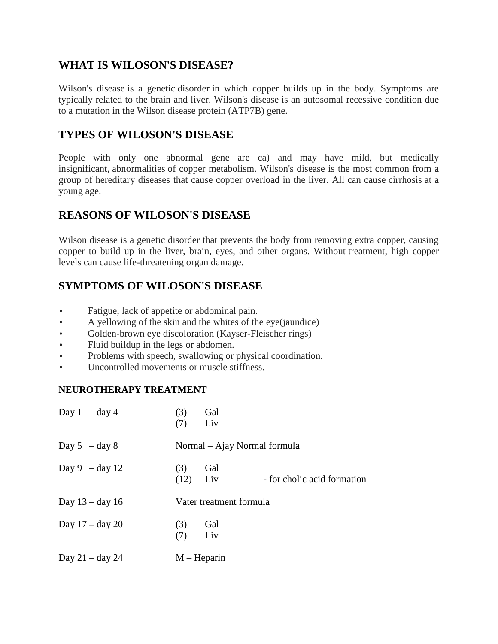### **WHAT IS WILOSON'S DISEASE?**

Wilson's disease is a genetic disorder in which copper builds up in the body. Symptoms are typically related to the brain and liver. Wilson's disease is an autosomal recessive condition due to a mutation in the Wilson disease protein (ATP7B) gene.

## **TYPES OF WILOSON'S DISEASE**

People with only one abnormal gene are ca) and may have mild, but medically insignificant, abnormalities of copper metabolism. Wilson's disease is the most common from a group of hereditary diseases that cause copper overload in the liver. All can cause cirrhosis at a young age.

### **REASONS OF WILOSON'S DISEASE**

Wilson disease is a genetic disorder that prevents the body from removing extra copper, causing copper to build up in the liver, brain, eyes, and other organs. Without treatment, high copper levels can cause life-threatening organ damage.

# **SYMPTOMS OF WILOSON'S DISEASE**

- Fatigue, lack of appetite or abdominal pain.
- A yellowing of the skin and the whites of the eye(jaundice)
- Golden-brown eye discoloration (Kayser-Fleischer rings)
- Fluid buildup in the legs or abdomen.
- Problems with speech, swallowing or physical coordination.
- Uncontrolled movements or muscle stiffness.

#### **NEUROTHERAPY TREATMENT**

| Day $1 - day 4$   | Gal<br>(3)<br>Liv<br>(7)                                 |  |  |
|-------------------|----------------------------------------------------------|--|--|
| Day $5 - day 8$   | Normal – Ajay Normal formula                             |  |  |
| Day $9 - day 12$  | (3)<br>Gal<br>(12)<br>Liv<br>- for cholic acid formation |  |  |
| Day $13 - day 16$ | Vater treatment formula                                  |  |  |
| Day $17 - day 20$ | (3)<br>Gal<br>Liv<br>(7)                                 |  |  |
| Day $21 - day 24$ | $M - Heparin$                                            |  |  |